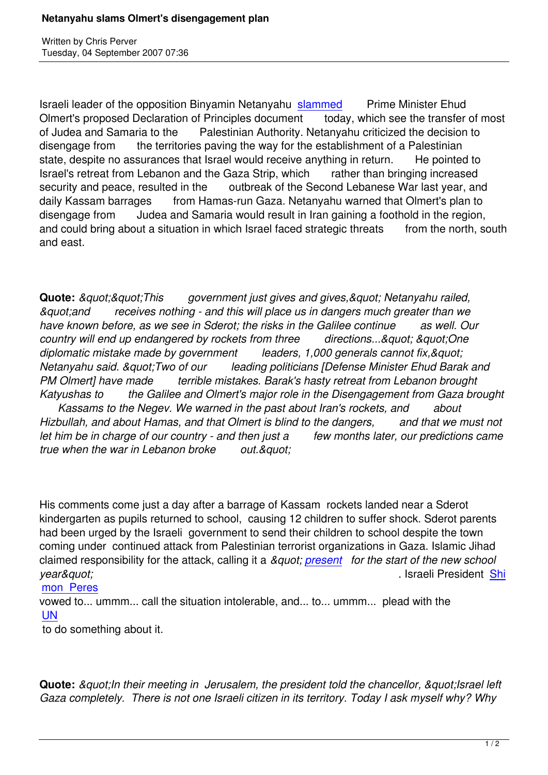Written by Christian by Christian by Christian by Christian by Christian by Christian by Chris Perus

Israeli leader of the opposition Binyamin Netanyahu slammed Prime Minister Ehud Olmert's proposed Declaration of Principles document today, which see the transfer of most of Judea and Samaria to the Palestinian Authority. Netanyahu criticized the decision to disengage from the territories paving the way for [the estab](http://www.israelnationalnews.com/News/News.aspx/123586)lishment of a Palestinian state, despite no assurances that Israel would receive anything in return. He pointed to Israel's retreat from Lebanon and the Gaza Strip, which rather than bringing increased security and peace, resulted in the outbreak of the Second Lebanese War last year, and daily Kassam barrages from Hamas-run Gaza. Netanyahu warned that Olmert's plan to disengage from Judea and Samaria would result in Iran gaining a foothold in the region, and could bring about a situation in which Israel faced strategic threats from the north, south and east.

**Quote:** *&guot;&guot;This government just gives and gives,&guot; Netanyahu railed, "and receives nothing - and this will place us in dangers much greater than we have known before, as we see in Sderot; the risks in the Galilee continue as well. Our country will end up endangered by rockets from three directions..." " One* diplomatic mistake made by government leaders, 1,000 generals cannot fix, & quot: *Netanyahu said. "Two of our leading politicians [Defense Minister Ehud Barak and PM Olmert] have made terrible mistakes. Barak's hasty retreat from Lebanon brought Katyushas to the Galilee and Olmert's major role in the Disengagement from Gaza brought Kassams to the Negev. We warned in the past about Iran's rockets, and about*

*Hizbullah, and about Hamas, and that Olmert is blind to the dangers, and that we must not* let him be in charge of our country - and then just a few months later, our predictions came *true when the war in Lebanon broke* out. & quot:

His comments come just a day after a barrage of Kassam rockets landed near a Sderot kindergarten as pupils returned to school, causing 12 children to suffer shock. Sderot parents had been urged by the Israeli government to send their children to school despite the town coming under continued attack from Palestinian terrorist organizations in Gaza. Islamic Jihad claimed responsibility for the attack, calling it a *" present for the start of the new school year&quot:* . Israeli President Shi

## mon Peres

vowed to... ummm... call the situation intolerable, and.[.. to... um](http://www.jpost.com/servlet/Satellite?cid=1188392521771&pagename=JPost%2FJPArticle%2FShowFull)mm... plead with the UN

 [to do somet](http://www.ynetnews.com/articles/0,7340,L-3445331,00.html)hing about it.

**Quote:** *&guot:In their meeting in Jerusalem, the president told the chancellor, &guot:Israel left Gaza completely. There is not one Israeli citizen in its territory. Today I ask myself why? Why*